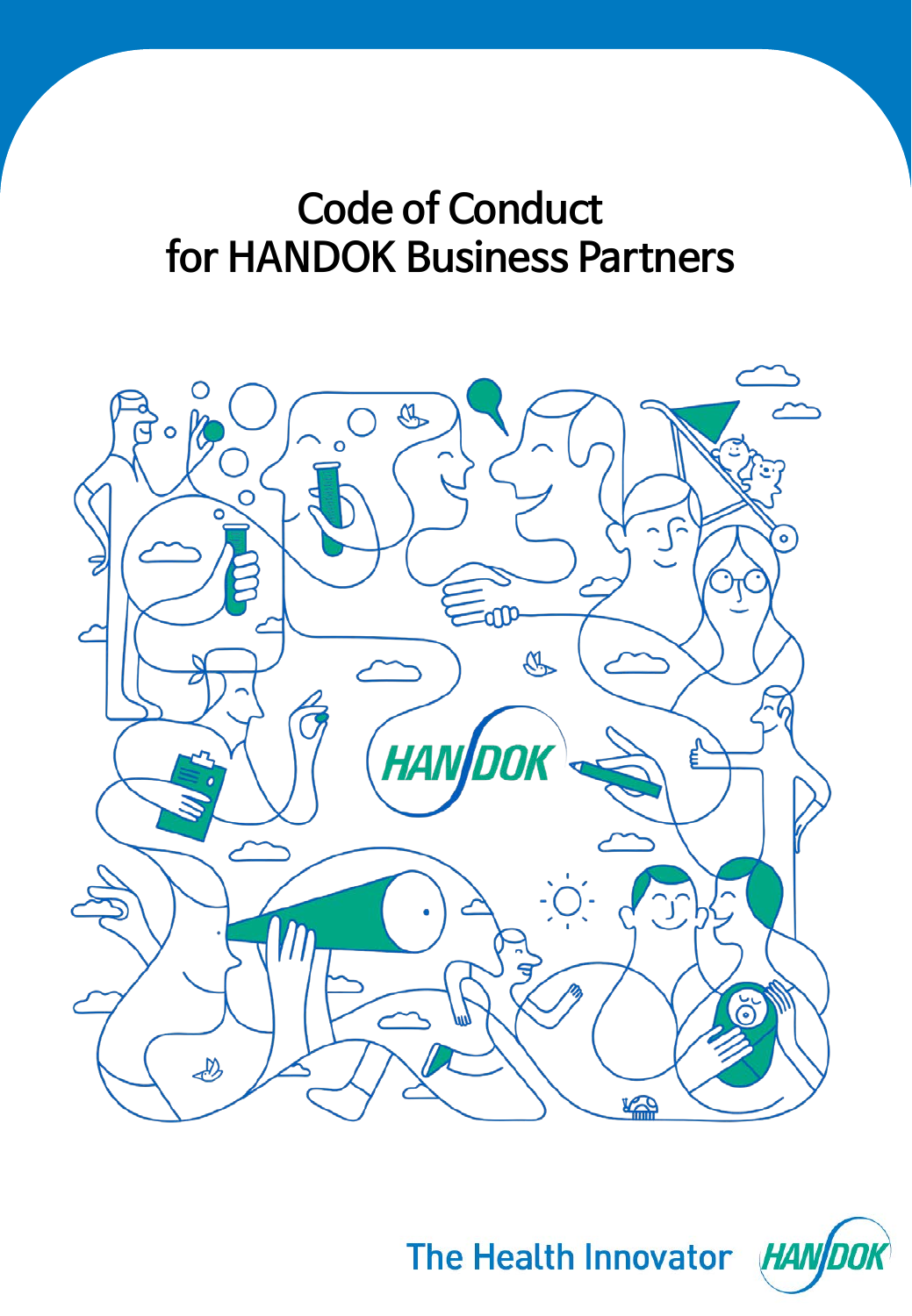

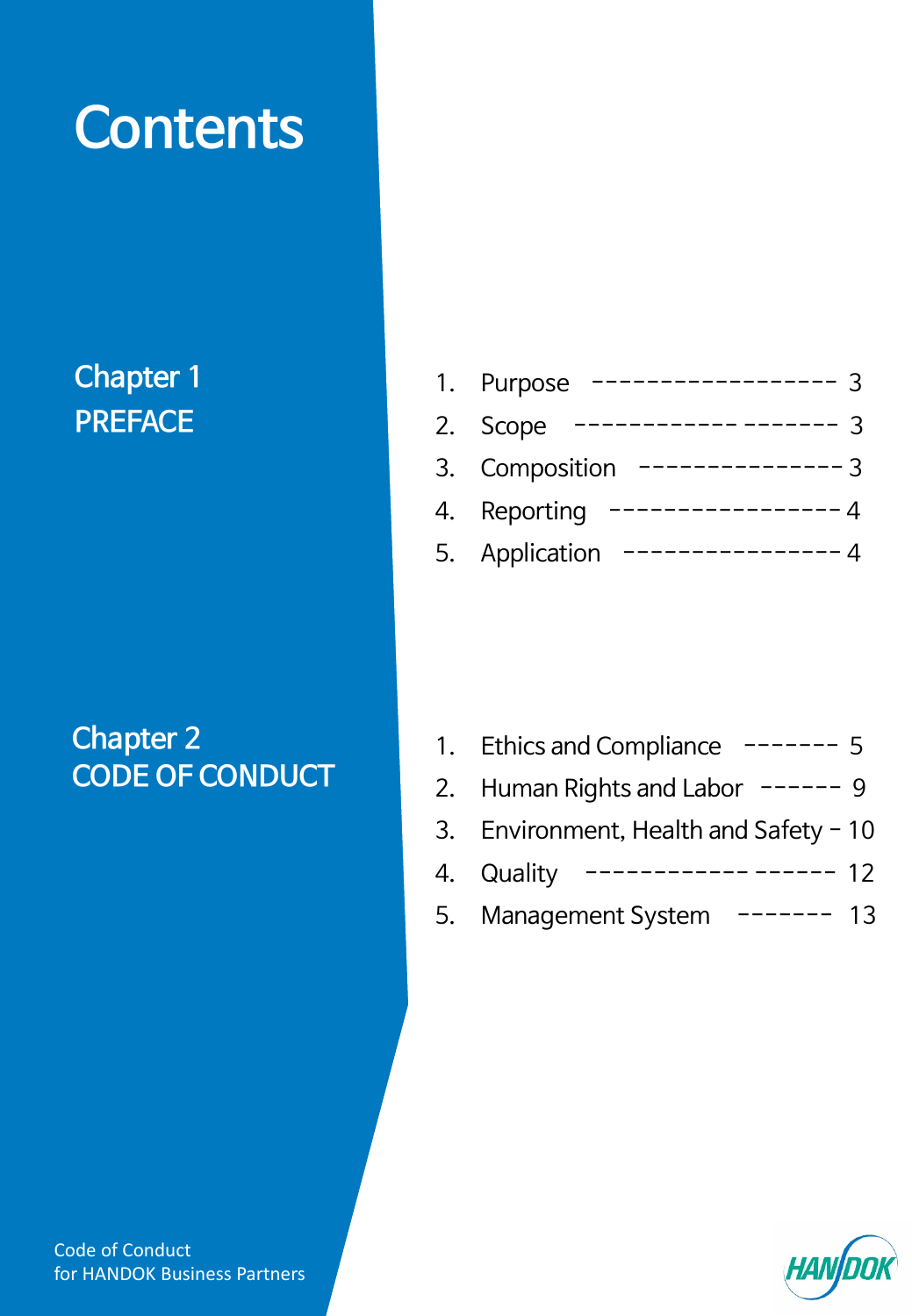# **Contents**

### **Chapter 1 PREFACE**

### **Chapter 2 CODE OF CONDUCT**

| 1. Purpose     |
|----------------|
| 2. Scope       |
| 3. Composition |
| 4. Reporting   |
| 5. Application |

| 1. Ethics and Compliance $--- 5$        |
|-----------------------------------------|
| 2. Human Rights and Labor $---9$        |
| 3. Environment, Health and Safety $-10$ |

- 4. [Quality ------------](#page-11-0) ------ 12
- 5. [Management System -------](#page-12-0) 13

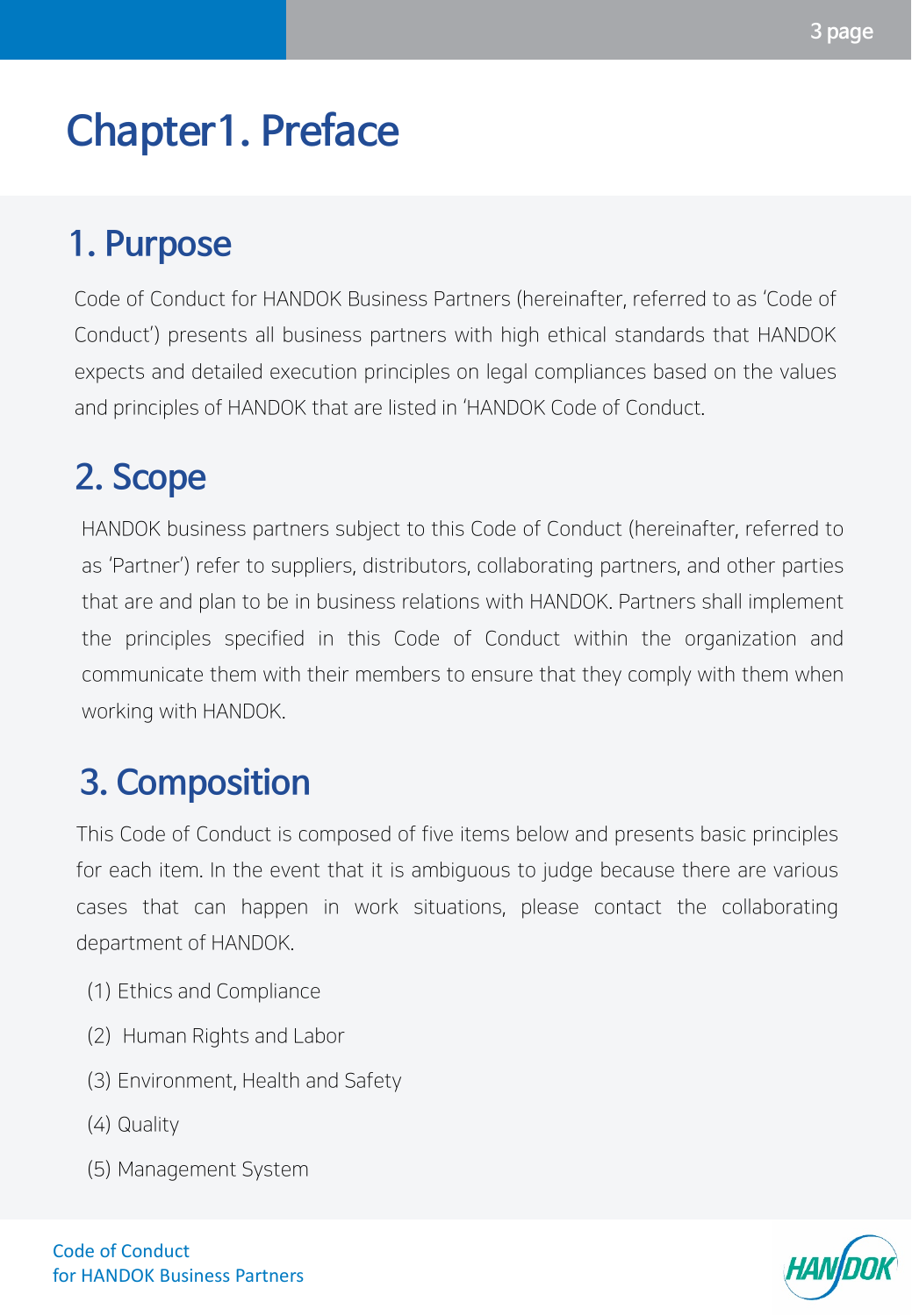## <span id="page-2-0"></span>**Chapter1. Preface**

### **1. Purpose**

Code of Conduct for HANDOK Business Partners (hereinafter, referred to as 'Code of Conduct') presents all business partners with high ethical standards that HANDOK expects and detailed execution principles on legal compliances based on the values and principles of HANDOK that are listed in 'HANDOK Code of Conduct.

### **2. Scope**

HANDOK business partners subject to this Code of Conduct (hereinafter, referred to as 'Partner') refer to suppliers, distributors, collaborating partners, and other parties that are and plan to be in business relations with HANDOK. Partners shall implement the principles specified in this Code of Conduct within the organization and communicate them with their members to ensure that they comply with them when working with HANDOK.

### **3. Composition**

This Code of Conduct is composed of five items below and presents basic principles for each item. In the event that it is ambiguous to judge because there are various cases that can happen in work situations, please contact the collaborating department of HANDOK.

- (1) Ethics and Compliance
- (2) Human Rights and Labor
- (3) Environment, Health and Safety
- (4) Quality
- (5) Management System

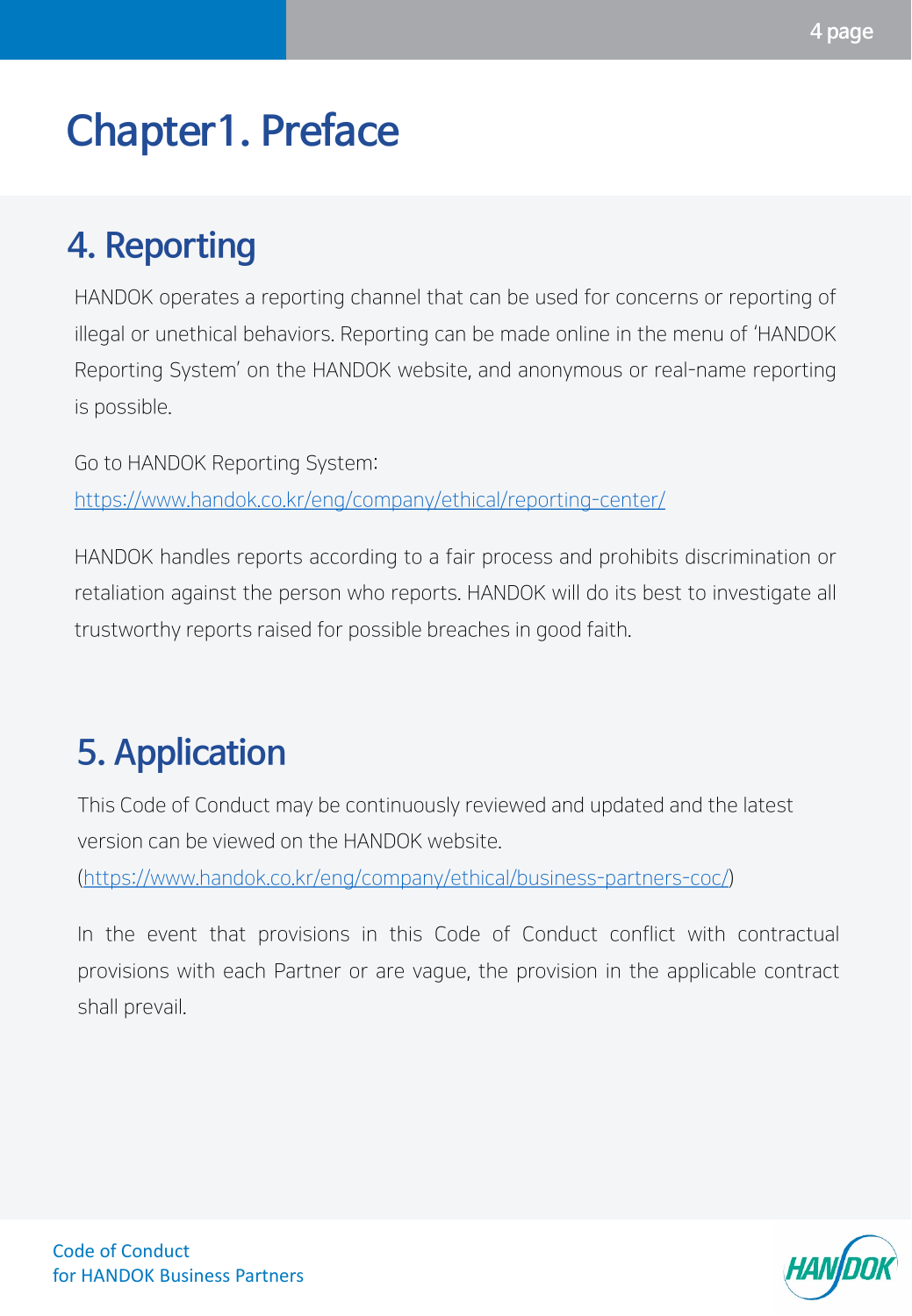## <span id="page-3-0"></span>**Chapter1. Preface**

### **4. Reporting**

HANDOK operates a reporting channel that can be used for concerns or reporting of illegal or unethical behaviors. Reporting can be made online in the menu of 'HANDOK Reporting System' on the HANDOK website, and anonymous or real-name reporting is possible.

Go to HANDOK Reporting System: <https://www.handok.co.kr/eng/company/ethical/reporting-center/>

HANDOK handles reports according to a fair process and prohibits discrimination or retaliation against the person who reports. HANDOK will do its best to investigate all trustworthy reports raised for possible breaches in good faith.

### **5. Application**

This Code of Conduct may be continuously reviewed and updated and the latest version can be viewed on the HANDOK website.

[\(https://www.handok.co.kr/eng/company/ethical/business-partners-coc/\)](https://www.handok.co.kr/eng/company/ethical/business-partners-coc/)

In the event that provisions in this Code of Conduct conflict with contractual provisions with each Partner or are vague, the provision in the applicable contract shall prevail.

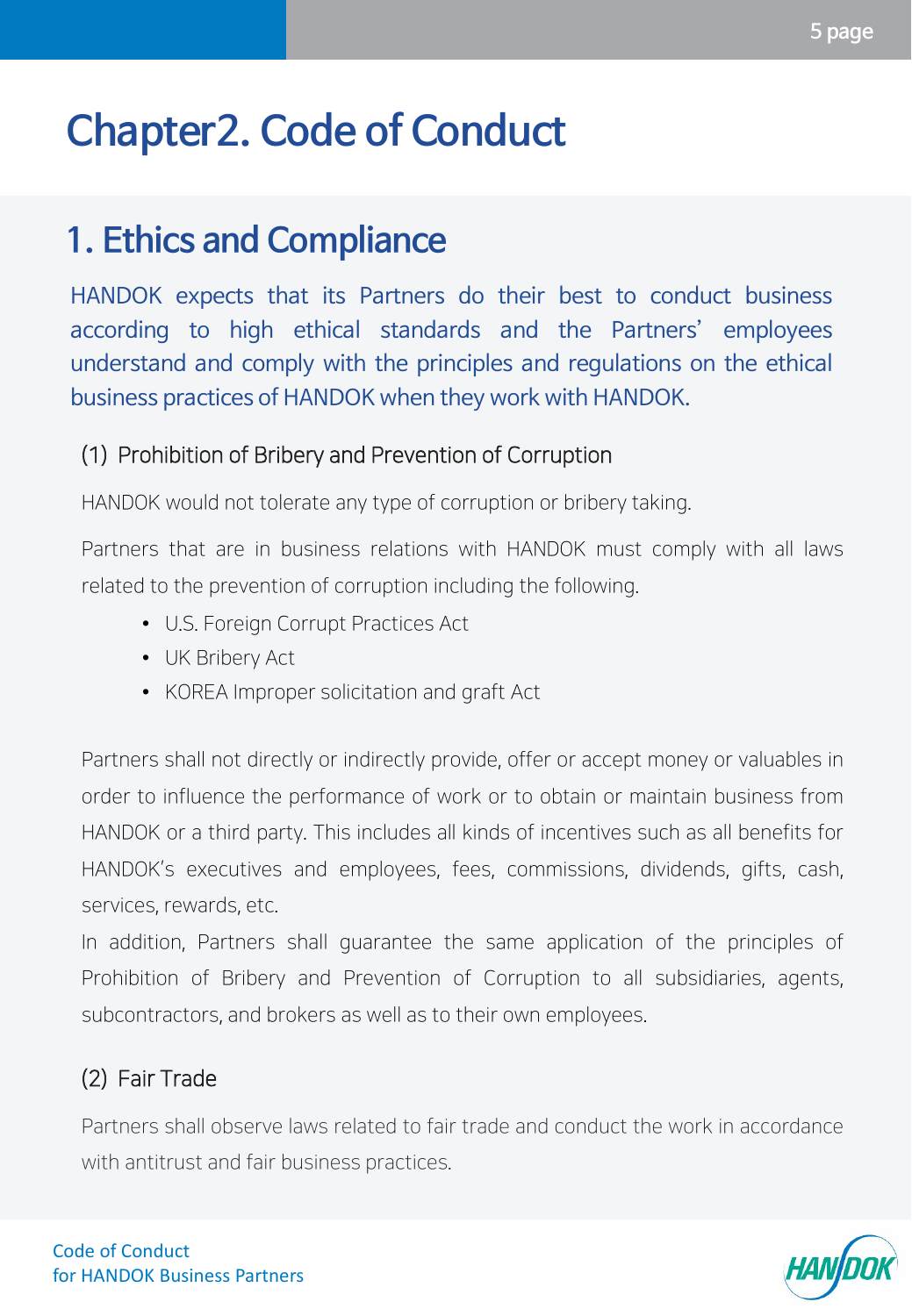### <span id="page-4-0"></span>**1. Ethics and Compliance**

HANDOK expects that its Partners do their best to conduct business according to high ethical standards and the Partners' employees understand and comply with the principles and regulations on the ethical business practices of HANDOK when they work with HANDOK.

### (1) Prohibition of Bribery and Prevention of Corruption

HANDOK would not tolerate any type of corruption or bribery taking.

Partners that are in business relations with HANDOK must comply with all laws related to the prevention of corruption including the following.

- U.S. Foreign Corrupt Practices Act
- UK Bribery Act
- KOREA Improper solicitation and graft Act

Partners shall not directly or indirectly provide, offer or accept money or valuables in order to influence the performance of work or to obtain or maintain business from HANDOK or a third party. This includes all kinds of incentives such as all benefits for HANDOK's executives and employees, fees, commissions, dividends, gifts, cash, services, rewards, etc.

In addition, Partners shall guarantee the same application of the principles of Prohibition of Bribery and Prevention of Corruption to all subsidiaries, agents, subcontractors, and brokers as well as to their own employees.

### (2) Fair Trade

Partners shall observe laws related to fair trade and conduct the work in accordance with antitrust and fair business practices.

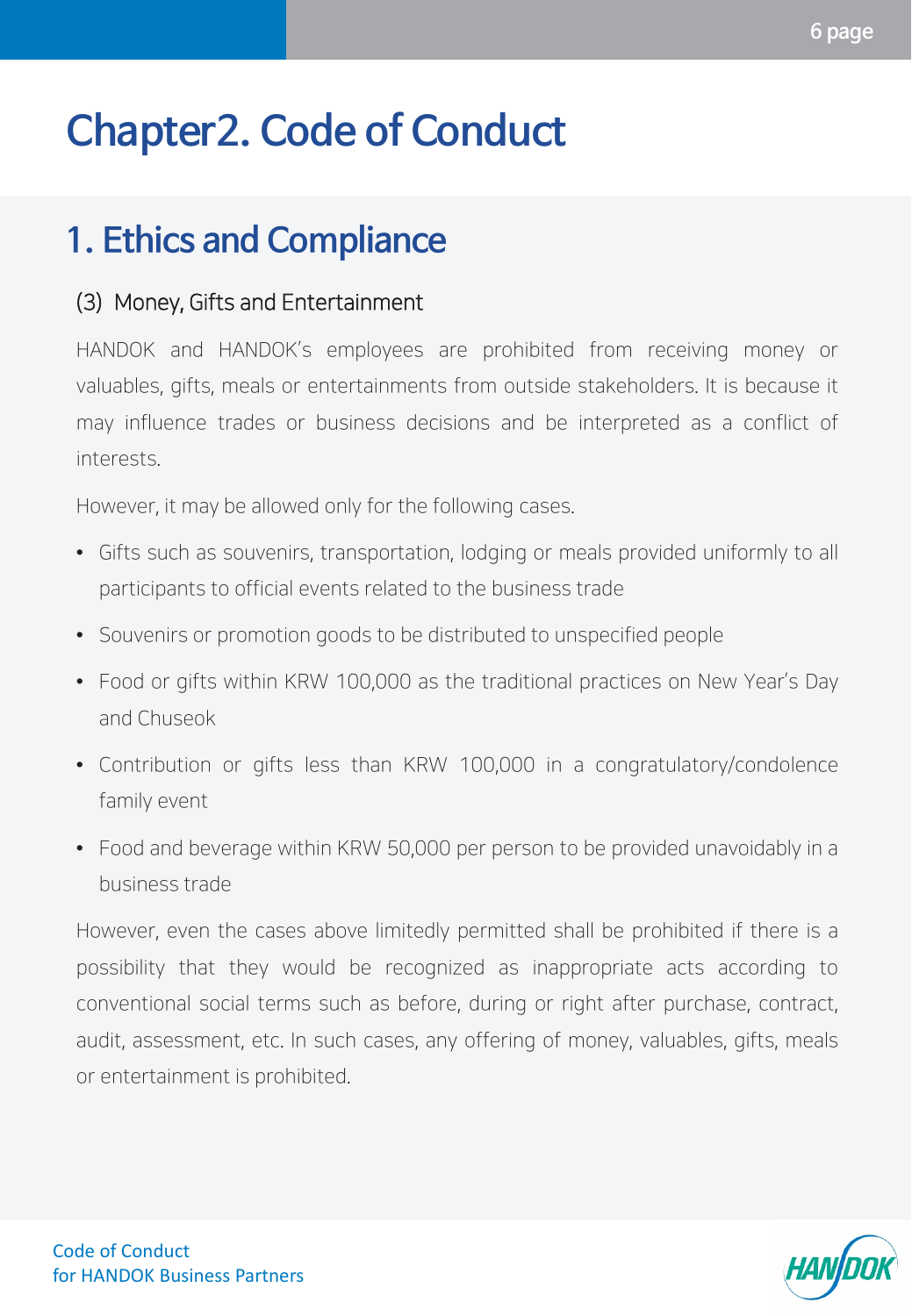### **1. Ethics and Compliance**

#### (3) Money, Gifts and Entertainment

HANDOK and HANDOK's employees are prohibited from receiving money or valuables, gifts, meals or entertainments from outside stakeholders. It is because it may influence trades or business decisions and be interpreted as a conflict of interests.

However, it may be allowed only for the following cases.

- Gifts such as souvenirs, transportation, lodging or meals provided uniformly to all participants to official events related to the business trade
- Souvenirs or promotion goods to be distributed to unspecified people
- Food or gifts within KRW 100,000 as the traditional practices on New Year's Day and Chuseok
- Contribution or gifts less than KRW 100,000 in a congratulatory/condolence family event
- Food and beverage within KRW 50,000 per person to be provided unavoidably in a business trade

However, even the cases above limitedly permitted shall be prohibited if there is a possibility that they would be recognized as inappropriate acts according to conventional social terms such as before, during or right after purchase, contract, audit, assessment, etc. In such cases, any offering of money, valuables, gifts, meals or entertainment is prohibited.

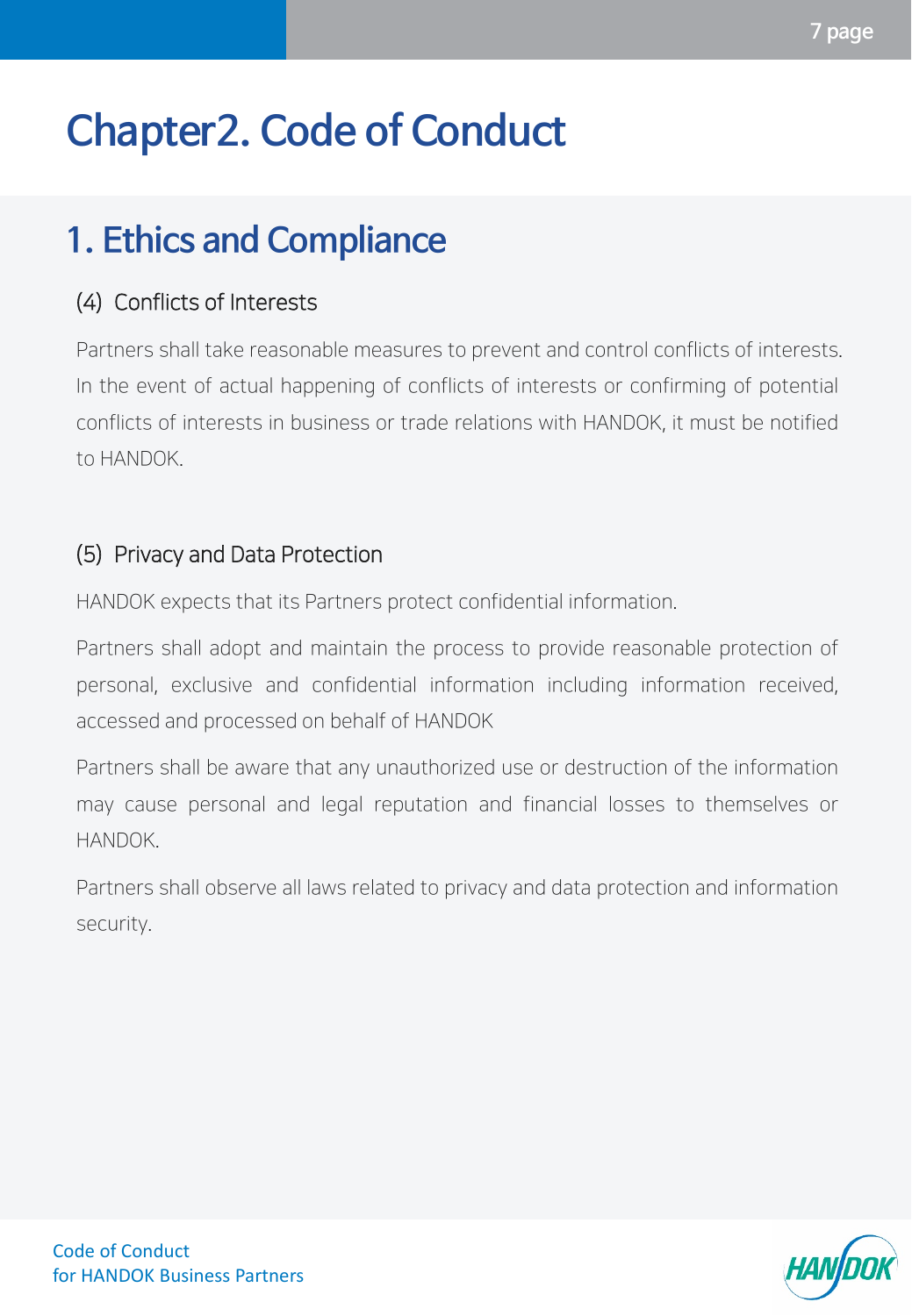## **1. Ethics and Compliance**

### (4) Conflicts of Interests

Partners shall take reasonable measures to prevent and control conflicts of interests. In the event of actual happening of conflicts of interests or confirming of potential conflicts of interests in business or trade relations with HANDOK, it must be notified to HANDOK.

### (5) Privacy and Data Protection

HANDOK expects that its Partners protect confidential information.

Partners shall adopt and maintain the process to provide reasonable protection of personal, exclusive and confidential information including information received, accessed and processed on behalf of HANDOK

Partners shall be aware that any unauthorized use or destruction of the information may cause personal and legal reputation and financial losses to themselves or HANDOK.

Partners shall observe all laws related to privacy and data protection and information security.

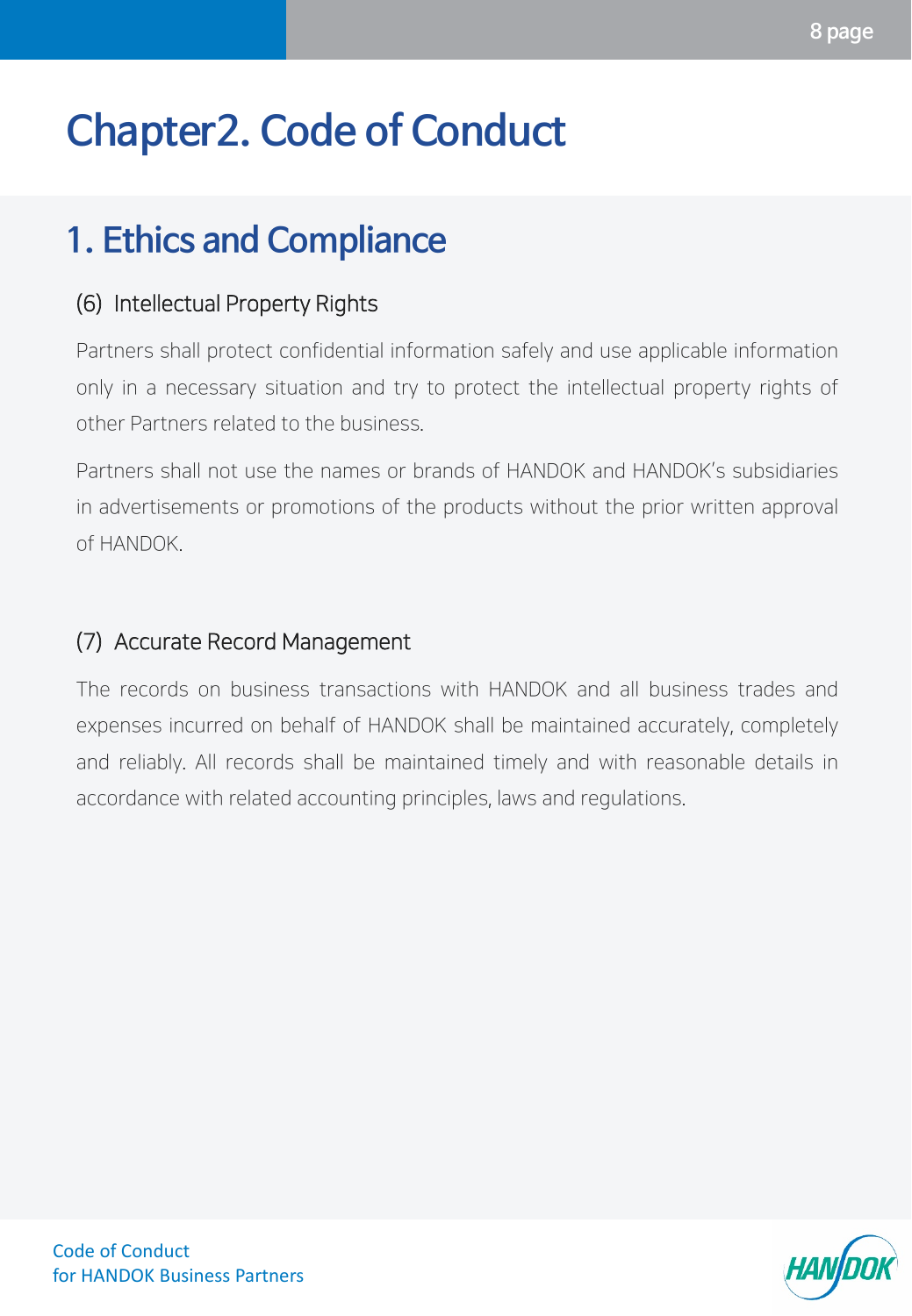### **1. Ethics and Compliance**

### (6) Intellectual Property Rights

Partners shall protect confidential information safely and use applicable information only in a necessary situation and try to protect the intellectual property rights of other Partners related to the business.

Partners shall not use the names or brands of HANDOK and HANDOK's subsidiaries in advertisements or promotions of the products without the prior written approval of HANDOK.

#### (7) Accurate Record Management

The records on business transactions with HANDOK and all business trades and expenses incurred on behalf of HANDOK shall be maintained accurately, completely and reliably. All records shall be maintained timely and with reasonable details in accordance with related accounting principles, laws and regulations.

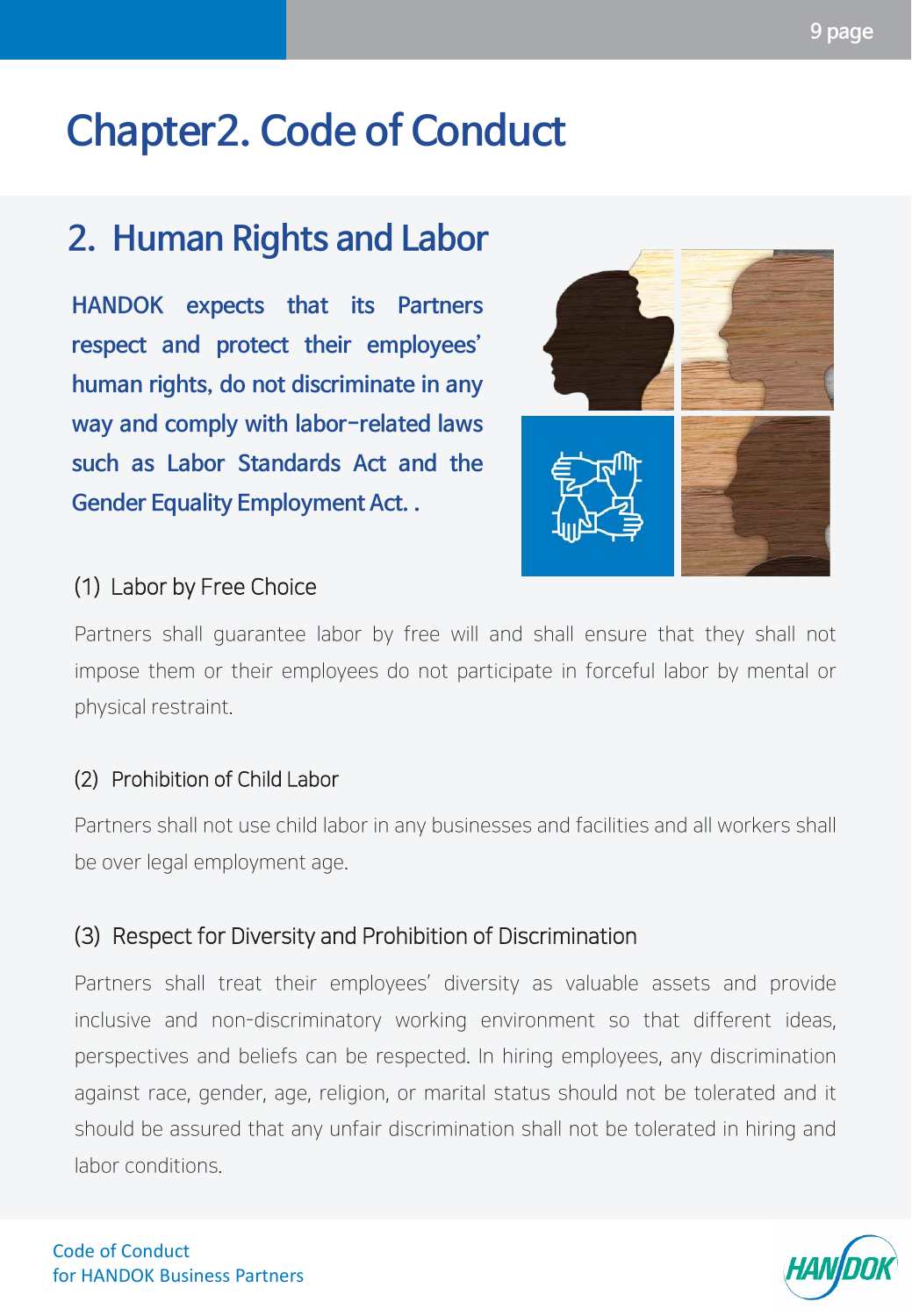### <span id="page-8-0"></span>**2. Human Rights and Labor**

**HANDOK expects that its Partners respect and protect their employees' human rights, do not discriminate in any way and comply with labor-related laws such as Labor Standards Act and the Gender Equality Employment Act. .**



#### (1) Labor by Free Choice

Partners shall guarantee labor by free will and shall ensure that they shall not impose them or their employees do not participate in forceful labor by mental or physical restraint.

#### (2) Prohibition of Child Labor

Partners shall not use child labor in any businesses and facilities and all workers shall be over legal employment age.

### (3) Respect for Diversity and Prohibition of Discrimination

Partners shall treat their employees' diversity as valuable assets and provide inclusive and non-discriminatory working environment so that different ideas, perspectives and beliefs can be respected. In hiring employees, any discrimination against race, gender, age, religion, or marital status should not be tolerated and it should be assured that any unfair discrimination shall not be tolerated in hiring and labor conditions.

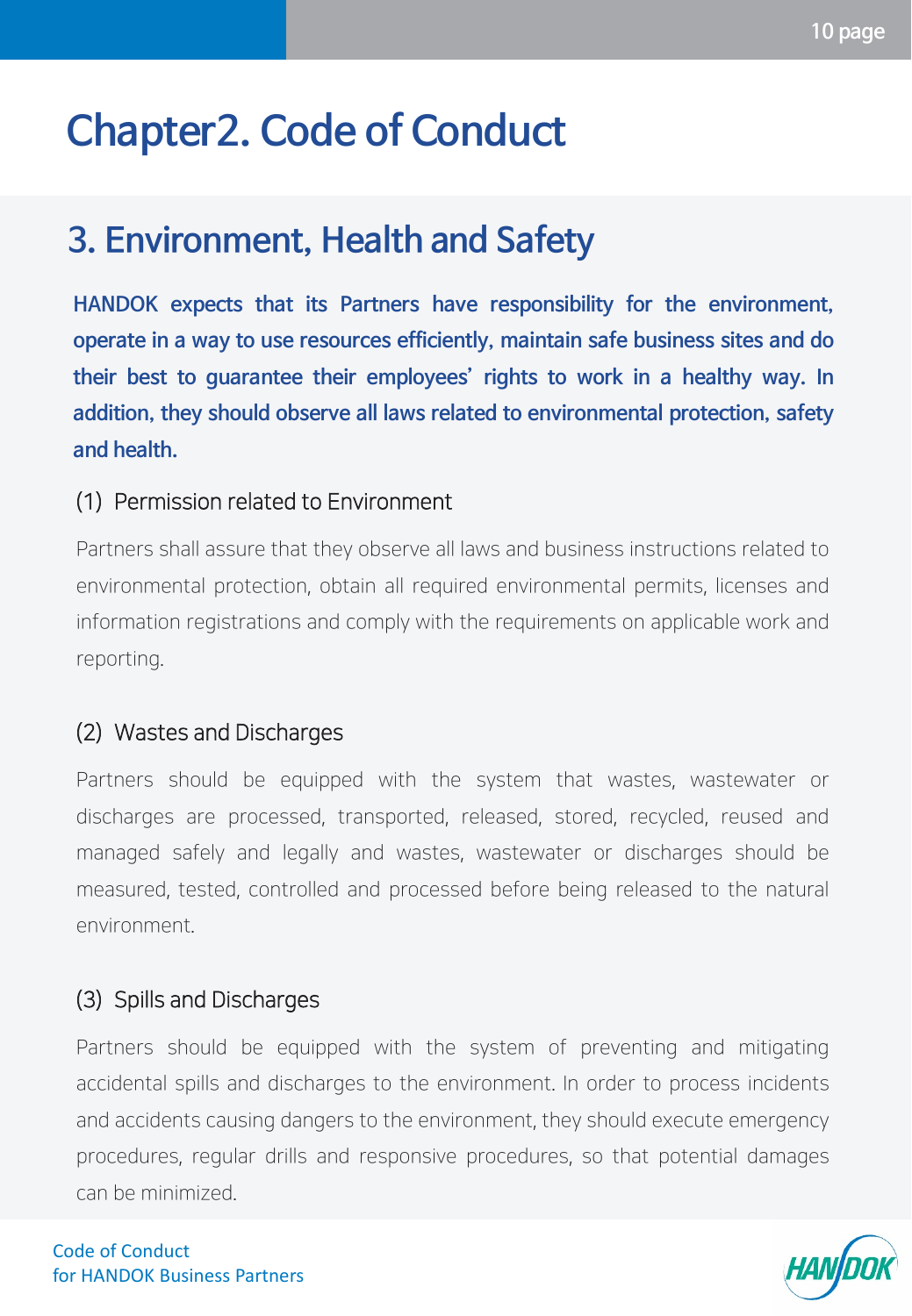### <span id="page-9-0"></span>**3. Environment, Health and Safety**

**HANDOK expects that its Partners have responsibility for the environment, operate in a way to use resources efficiently, maintain safe business sites and do their best to guarantee their employees' rights to work in a healthy way. In addition, they should observe all laws related to environmental protection, safety and health.**

#### (1) Permission related to Environment

Partners shall assure that they observe all laws and business instructions related to environmental protection, obtain all required environmental permits, licenses and information registrations and comply with the requirements on applicable work and reporting.

#### (2) Wastes and Discharges

Partners should be equipped with the system that wastes, wastewater or discharges are processed, transported, released, stored, recycled, reused and managed safely and legally and wastes, wastewater or discharges should be measured, tested, controlled and processed before being released to the natural environment.

#### (3) Spills and Discharges

Partners should be equipped with the system of preventing and mitigating accidental spills and discharges to the environment. In order to process incidents and accidents causing dangers to the environment, they should execute emergency procedures, regular drills and responsive procedures, so that potential damages can be minimized.

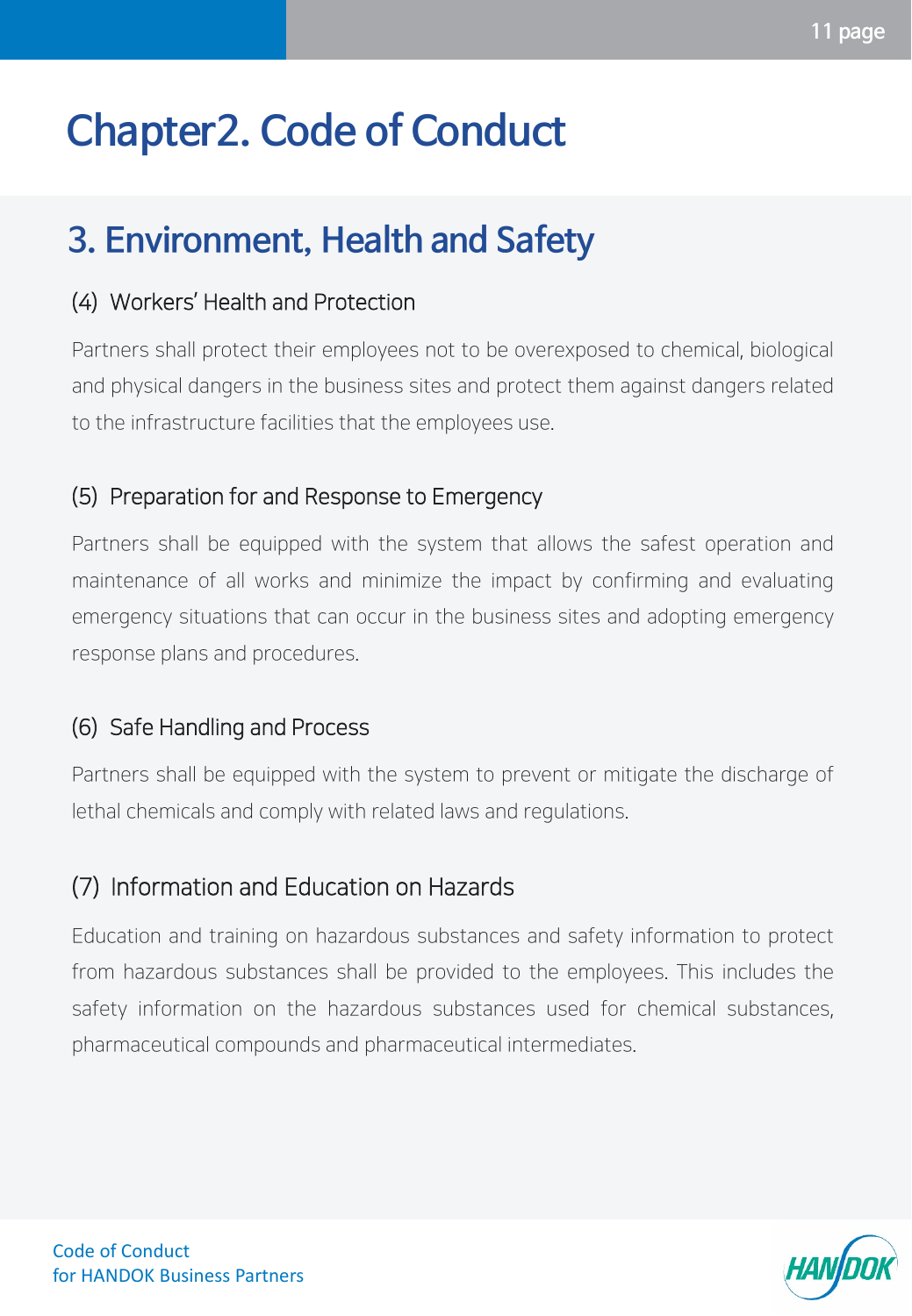### **3. Environment, Health and Safety**

#### (4) Workers' Health and Protection

Partners shall protect their employees not to be overexposed to chemical, biological and physical dangers in the business sites and protect them against dangers related to the infrastructure facilities that the employees use.

### (5) Preparation for and Response to Emergency

Partners shall be equipped with the system that allows the safest operation and maintenance of all works and minimize the impact by confirming and evaluating emergency situations that can occur in the business sites and adopting emergency response plans and procedures.

### (6) Safe Handling and Process

Partners shall be equipped with the system to prevent or mitigate the discharge of lethal chemicals and comply with related laws and regulations.

### (7) Information and Education on Hazards

Education and training on hazardous substances and safety information to protect from hazardous substances shall be provided to the employees. This includes the safety information on the hazardous substances used for chemical substances, pharmaceutical compounds and pharmaceutical intermediates.

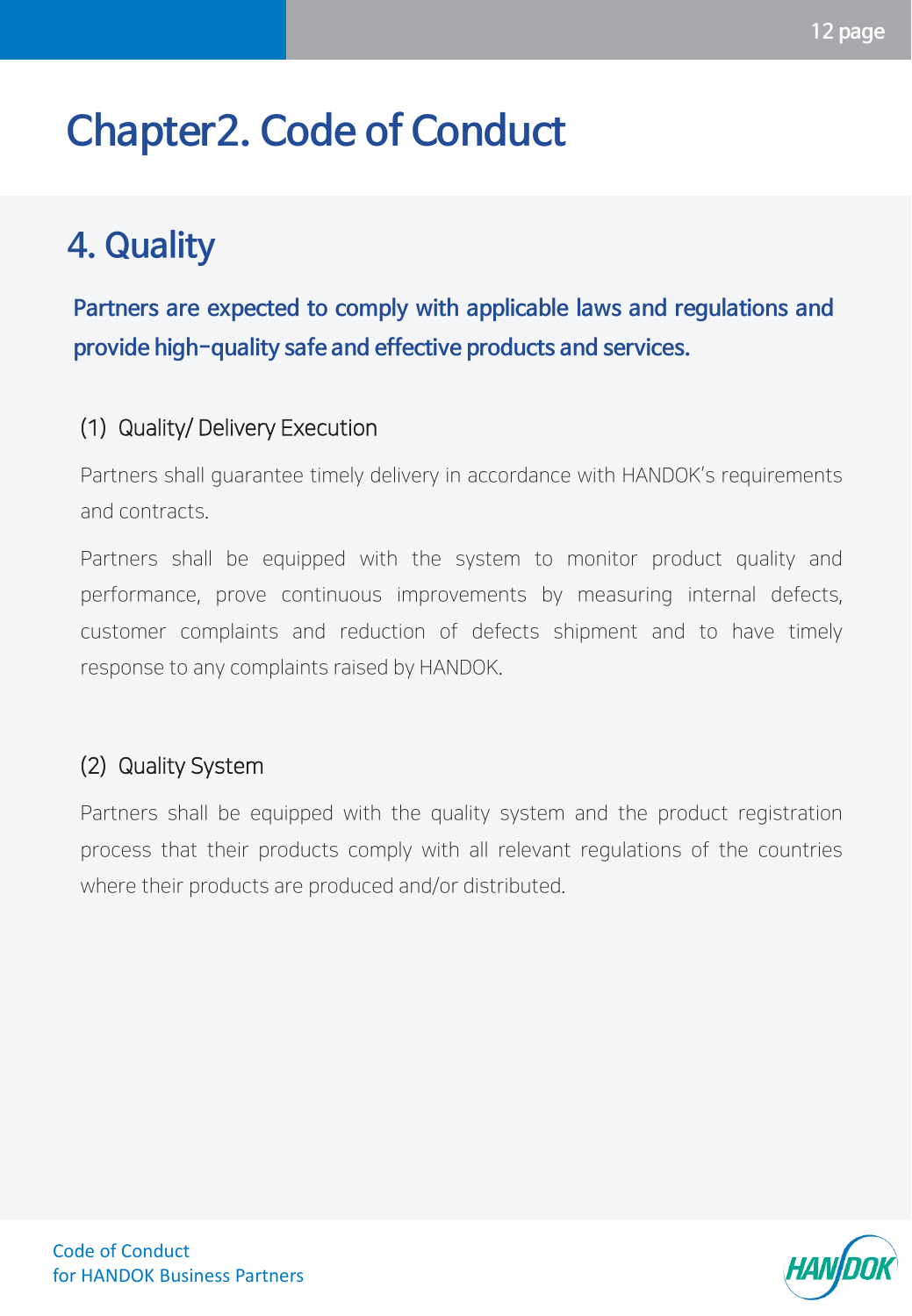### <span id="page-11-0"></span>**4. Quality**

**Partners are expected to comply with applicable laws and regulations and provide high-quality safe and effective products and services.**

### (1) Quality/ Delivery Execution

Partners shall guarantee timely delivery in accordance with HANDOK's requirements and contracts.

Partners shall be equipped with the system to monitor product quality and performance, prove continuous improvements by measuring internal defects, customer complaints and reduction of defects shipment and to have timely response to any complaints raised by HANDOK.

### (2) Quality System

Partners shall be equipped with the quality system and the product registration process that their products comply with all relevant regulations of the countries where their products are produced and/or distributed.

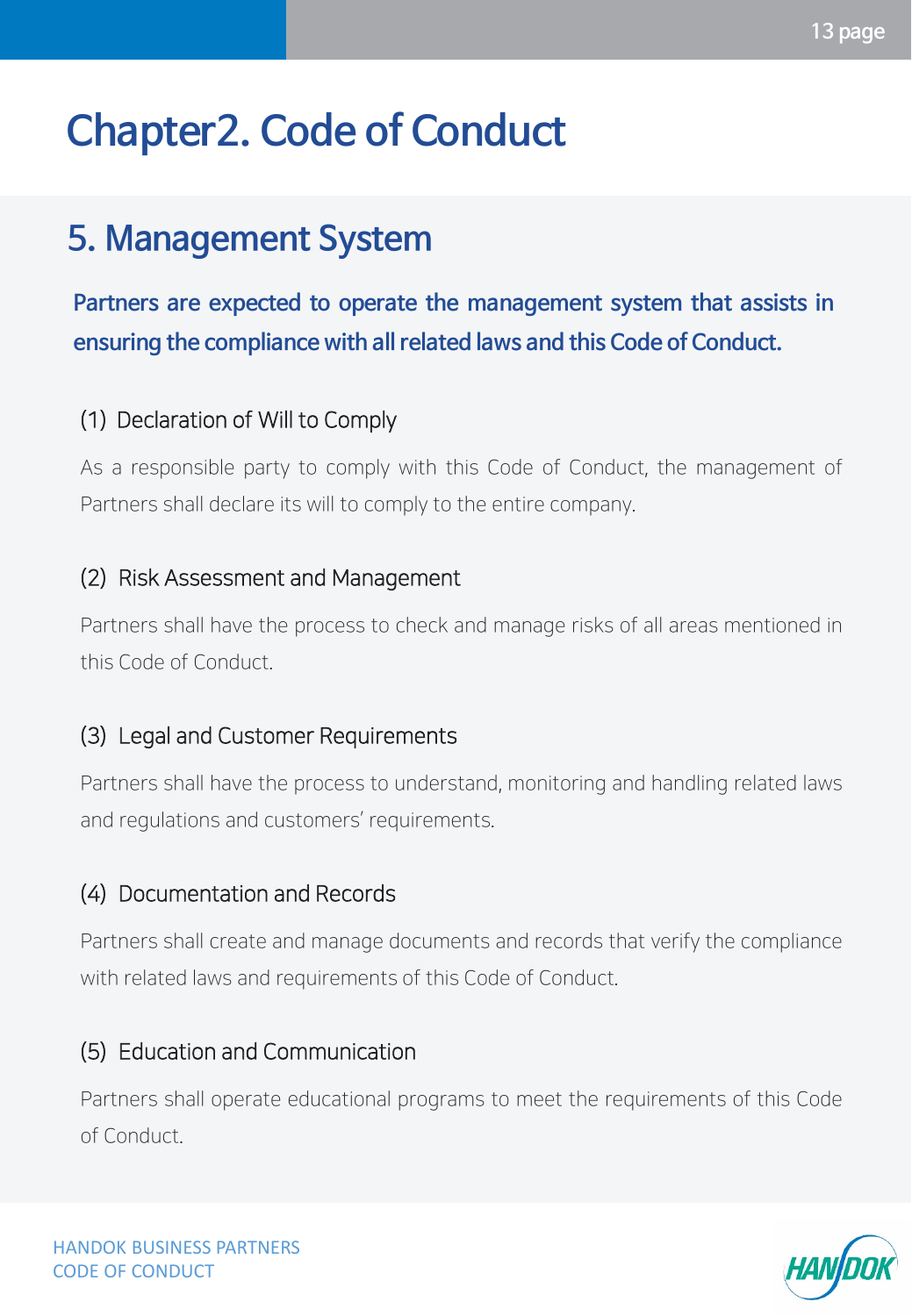### <span id="page-12-0"></span>**5. Management System**

**Partners are expected to operate the management system that assists in ensuring the compliance with all related laws and this Code of Conduct.**

### (1) Declaration of Will to Comply

As a responsible party to comply with this Code of Conduct, the management of Partners shall declare its will to comply to the entire company.

#### (2) Risk Assessment and Management

Partners shall have the process to check and manage risks of all areas mentioned in this Code of Conduct.

### (3) Legal and Customer Requirements

Partners shall have the process to understand, monitoring and handling related laws and regulations and customers' requirements.

### (4) Documentation and Records

Partners shall create and manage documents and records that verify the compliance with related laws and requirements of this Code of Conduct.

#### (5) Education and Communication

Partners shall operate educational programs to meet the requirements of this Code of Conduct.

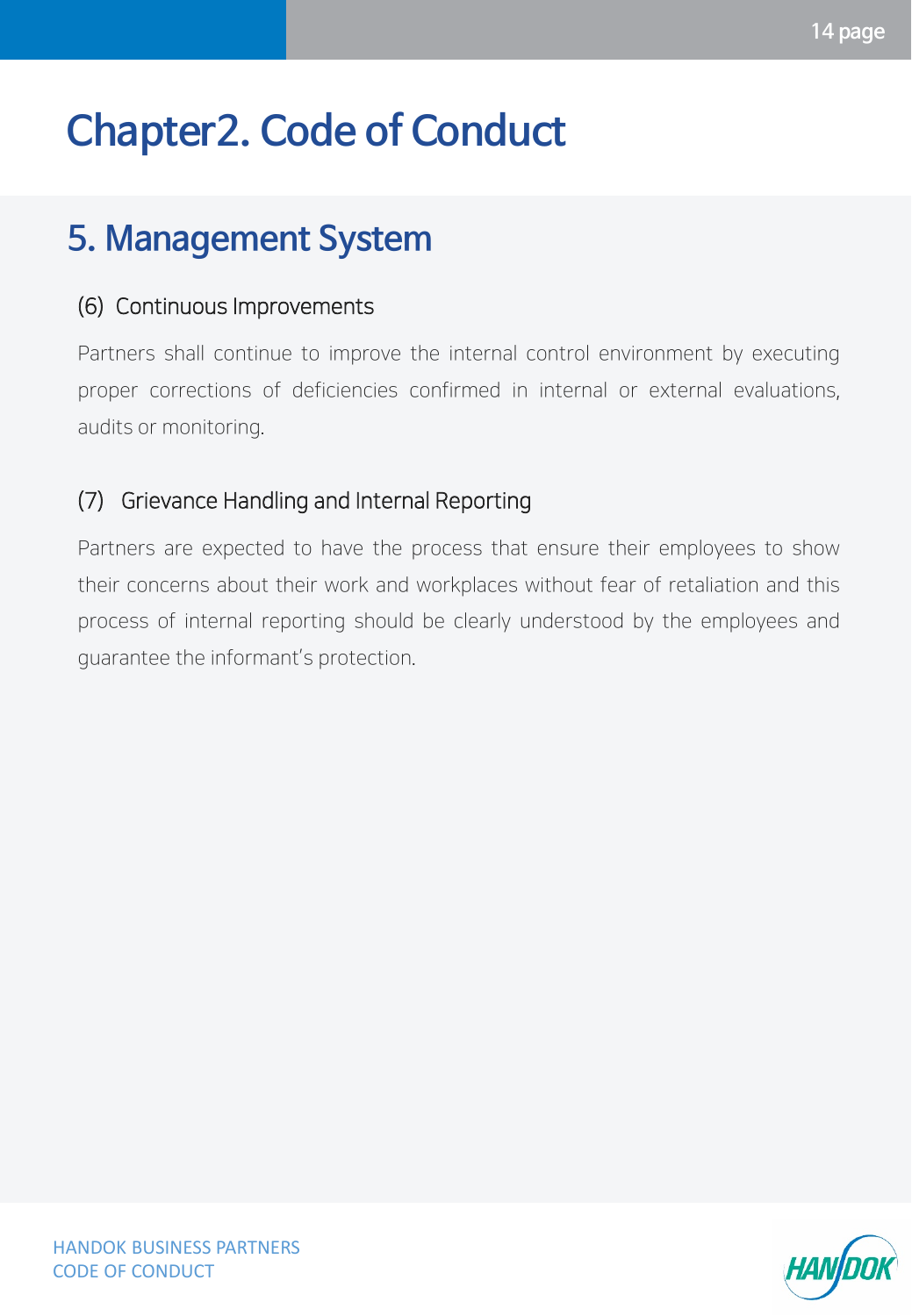### **5. Management System**

#### (6) Continuous Improvements

Partners shall continue to improve the internal control environment by executing proper corrections of deficiencies confirmed in internal or external evaluations, audits or monitoring.

### (7) Grievance Handling and Internal Reporting

Partners are expected to have the process that ensure their employees to show their concerns about their work and workplaces without fear of retaliation and this process of internal reporting should be clearly understood by the employees and guarantee the informant's protection.